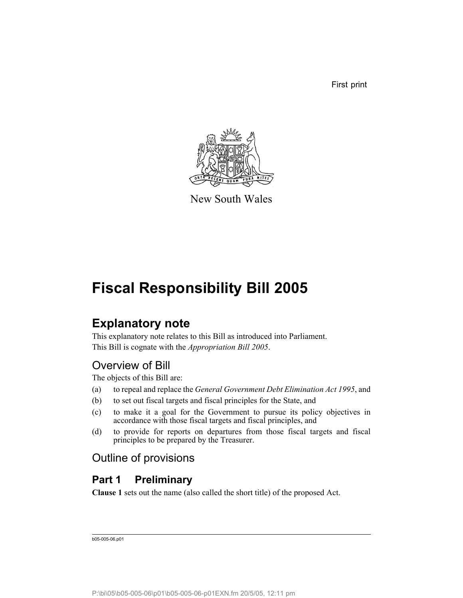First print



New South Wales

# **Fiscal Responsibility Bill 2005**

# **Explanatory note**

This explanatory note relates to this Bill as introduced into Parliament. This Bill is cognate with the *Appropriation Bill 2005*.

# Overview of Bill

The objects of this Bill are:

- (a) to repeal and replace the *General Government Debt Elimination Act 1995*, and
- (b) to set out fiscal targets and fiscal principles for the State, and
- (c) to make it a goal for the Government to pursue its policy objectives in accordance with those fiscal targets and fiscal principles, and
- (d) to provide for reports on departures from those fiscal targets and fiscal principles to be prepared by the Treasurer.

# Outline of provisions

# **Part 1 Preliminary**

**Clause 1** sets out the name (also called the short title) of the proposed Act.

b05-005-06.p01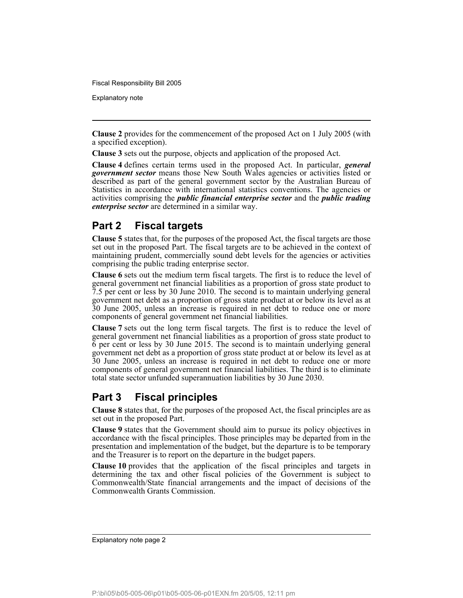Explanatory note

**Clause 2** provides for the commencement of the proposed Act on 1 July 2005 (with a specified exception).

**Clause 3** sets out the purpose, objects and application of the proposed Act.

**Clause 4** defines certain terms used in the proposed Act. In particular, *general government sector* means those New South Wales agencies or activities listed or described as part of the general government sector by the Australian Bureau of Statistics in accordance with international statistics conventions. The agencies or activities comprising the *public financial enterprise sector* and the *public trading enterprise sector* are determined in a similar way.

## **Part 2 Fiscal targets**

**Clause 5** states that, for the purposes of the proposed Act, the fiscal targets are those set out in the proposed Part. The fiscal targets are to be achieved in the context of maintaining prudent, commercially sound debt levels for the agencies or activities comprising the public trading enterprise sector.

**Clause 6** sets out the medium term fiscal targets. The first is to reduce the level of general government net financial liabilities as a proportion of gross state product to 7.5 per cent or less by 30 June 2010. The second is to maintain underlying general government net debt as a proportion of gross state product at or below its level as at 30 June 2005, unless an increase is required in net debt to reduce one or more components of general government net financial liabilities.

**Clause 7** sets out the long term fiscal targets. The first is to reduce the level of general government net financial liabilities as a proportion of gross state product to 6 per cent or less by 30 June 2015. The second is to maintain underlying general government net debt as a proportion of gross state product at or below its level as at 30 June 2005, unless an increase is required in net debt to reduce one or more components of general government net financial liabilities. The third is to eliminate total state sector unfunded superannuation liabilities by 30 June 2030.

# **Part 3 Fiscal principles**

**Clause 8** states that, for the purposes of the proposed Act, the fiscal principles are as set out in the proposed Part.

**Clause 9** states that the Government should aim to pursue its policy objectives in accordance with the fiscal principles. Those principles may be departed from in the presentation and implementation of the budget, but the departure is to be temporary and the Treasurer is to report on the departure in the budget papers.

**Clause 10** provides that the application of the fiscal principles and targets in determining the tax and other fiscal policies of the Government is subject to Commonwealth/State financial arrangements and the impact of decisions of the Commonwealth Grants Commission.

Explanatory note page 2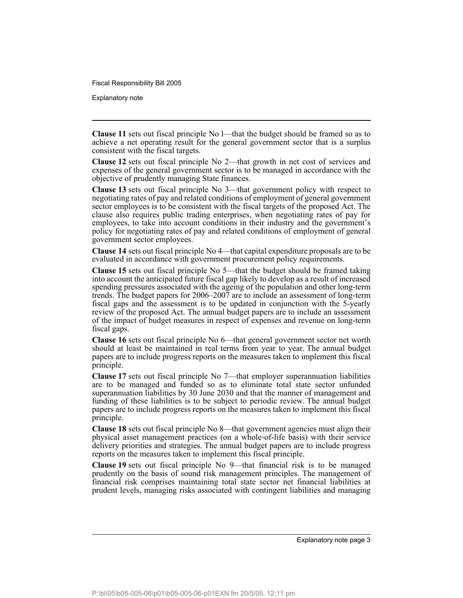Explanatory note

**Clause 11** sets out fiscal principle No l—that the budget should be framed so as to achieve a net operating result for the general government sector that is a surplus consistent with the fiscal targets.

**Clause 12** sets out fiscal principle No 2—that growth in net cost of services and expenses of the general government sector is to be managed in accordance with the objective of prudently managing State finances.

**Clause 13** sets out fiscal principle No 3—that government policy with respect to negotiating rates of pay and related conditions of employment of general government sector employees is to be consistent with the fiscal targets of the proposed Act. The clause also requires public trading enterprises, when negotiating rates of pay for employees, to take into account conditions in their industry and the government's policy for negotiating rates of pay and related conditions of employment of general government sector employees.

**Clause 14** sets out fiscal principle No 4—that capital expenditure proposals are to be evaluated in accordance with government procurement policy requirements.

**Clause 15** sets out fiscal principle No 5—that the budget should be framed taking into account the anticipated future fiscal gap likely to develop as a result of increased spending pressures associated with the ageing of the population and other long-term trends. The budget papers for 2006–2007 are to include an assessment of long-term fiscal gaps and the assessment is to be updated in conjunction with the 5-yearly review of the proposed Act. The annual budget papers are to include an assessment of the impact of budget measures in respect of expenses and revenue on long-term fiscal gaps.

**Clause 16** sets out fiscal principle No 6—that general government sector net worth should at least be maintained in real terms from year to year. The annual budget papers are to include progress reports on the measures taken to implement this fiscal principle.

**Clause 17** sets out fiscal principle No 7—that employer superannuation liabilities are to be managed and funded so as to eliminate total state sector unfunded superannuation liabilities by 30 June 2030 and that the manner of management and funding of these liabilities is to be subject to periodic review. The annual budget papers are to include progress reports on the measures taken to implement this fiscal principle.

**Clause 18** sets out fiscal principle No 8—that government agencies must align their physical asset management practices (on a whole-of-life basis) with their service delivery priorities and strategies. The annual budget papers are to include progress reports on the measures taken to implement this fiscal principle.

**Clause 19** sets out fiscal principle No 9—that financial risk is to be managed prudently on the basis of sound risk management principles. The management of financial risk comprises maintaining total state sector net financial liabilities at prudent levels, managing risks associated with contingent liabilities and managing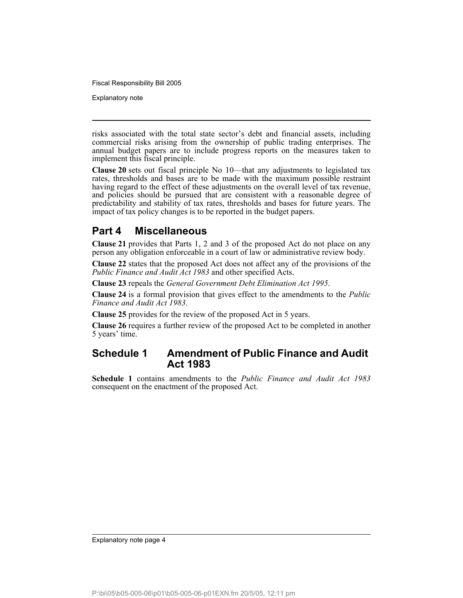Explanatory note

risks associated with the total state sector's debt and financial assets, including commercial risks arising from the ownership of public trading enterprises. The annual budget papers are to include progress reports on the measures taken to implement this fiscal principle.

**Clause 20** sets out fiscal principle No 10—that any adjustments to legislated tax rates, thresholds and bases are to be made with the maximum possible restraint having regard to the effect of these adjustments on the overall level of tax revenue, and policies should be pursued that are consistent with a reasonable degree of predictability and stability of tax rates, thresholds and bases for future years. The impact of tax policy changes is to be reported in the budget papers.

## **Part 4 Miscellaneous**

**Clause 21** provides that Parts 1, 2 and 3 of the proposed Act do not place on any person any obligation enforceable in a court of law or administrative review body.

**Clause 22** states that the proposed Act does not affect any of the provisions of the *Public Finance and Audit Act 1983* and other specified Acts.

**Clause 23** repeals the *General Government Debt Elimination Act 1995*.

**Clause 24** is a formal provision that gives effect to the amendments to the *Public Finance and Audit Act 1983*.

**Clause 25** provides for the review of the proposed Act in 5 years.

**Clause 26** requires a further review of the proposed Act to be completed in another 5 years' time.

## **Schedule 1 Amendment of Public Finance and Audit Act 1983**

**Schedule 1** contains amendments to the *Public Finance and Audit Act 1983* consequent on the enactment of the proposed Act.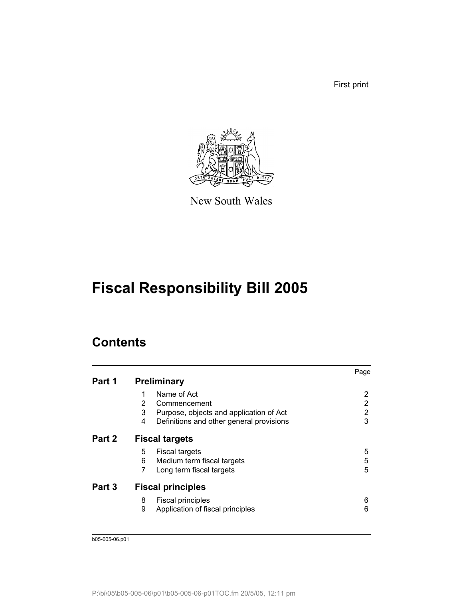First print



New South Wales

# **Fiscal Responsibility Bill 2005**

# **Contents**

|        |                                               | Page |
|--------|-----------------------------------------------|------|
| Part 1 | <b>Preliminary</b>                            |      |
|        | Name of Act                                   | 2    |
|        | 2<br>Commencement                             | 2    |
|        | 3<br>Purpose, objects and application of Act  | 2    |
|        | 4<br>Definitions and other general provisions | 3    |
| Part 2 | <b>Fiscal targets</b>                         |      |
|        | 5<br><b>Fiscal targets</b>                    | 5    |
|        | 6<br>Medium term fiscal targets               | 5    |
|        | 7<br>Long term fiscal targets                 | 5    |
| Part 3 | <b>Fiscal principles</b>                      |      |
|        | 8<br><b>Fiscal principles</b>                 | 6    |
|        | 9<br>Application of fiscal principles         | 6    |
|        |                                               |      |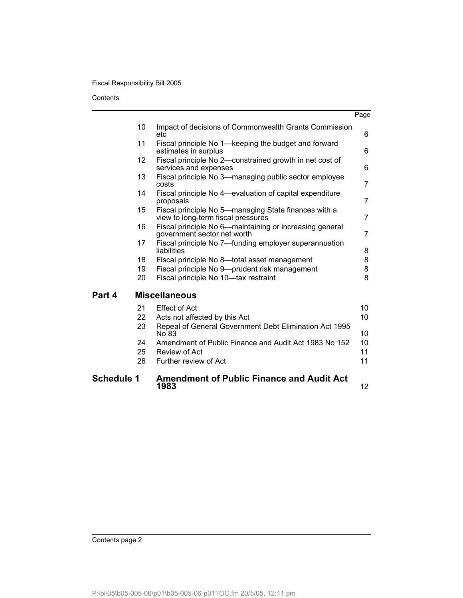**Contents** 

| <b>Schedule 1</b> |                | <b>Amendment of Public Finance and Audit Act</b><br>1983                                                        | 12 <sup>2</sup>       |
|-------------------|----------------|-----------------------------------------------------------------------------------------------------------------|-----------------------|
|                   | 24<br>25<br>26 | No 83<br>Amendment of Public Finance and Audit Act 1983 No 152<br>Review of Act<br>Further review of Act        | 10<br>10<br>11<br>11  |
|                   | 21<br>22<br>23 | <b>Effect of Act</b><br>Acts not affected by this Act<br>Repeal of General Government Debt Elimination Act 1995 | 10<br>10 <sup>1</sup> |
| Part 4            |                | <b>Miscellaneous</b>                                                                                            |                       |
|                   | 20             | Fiscal principle No 10-tax restraint                                                                            | 8                     |
|                   | 19             | Fiscal principle No 9-prudent risk management                                                                   | 8                     |
|                   | 18             | liabilities<br>Fiscal principle No 8-total asset management                                                     | 8<br>8                |
|                   | 17             | government sector net worth<br>Fiscal principle No 7-funding employer superannuation                            | $\overline{7}$        |
|                   | 16             | view to long-term fiscal pressures<br>Fiscal principle No 6-maintaining or increasing general                   | $\overline{7}$        |
|                   | 15             | proposals<br>Fiscal principle No 5-managing State finances with a                                               | $\overline{7}$        |
|                   | 14             | costs<br>Fiscal principle No 4—evaluation of capital expenditure                                                |                       |
|                   | 13             | Fiscal principle No 3—managing public sector employee                                                           | $\overline{7}$        |
|                   | 12             | Fiscal principle No 2-constrained growth in net cost of<br>services and expenses                                | 6                     |
|                   | 11             | Fiscal principle No 1—keeping the budget and forward<br>estimates in surplus                                    | 6                     |
|                   | 10             | Impact of decisions of Commonwealth Grants Commission<br>etc                                                    | 6                     |
|                   |                |                                                                                                                 | Page                  |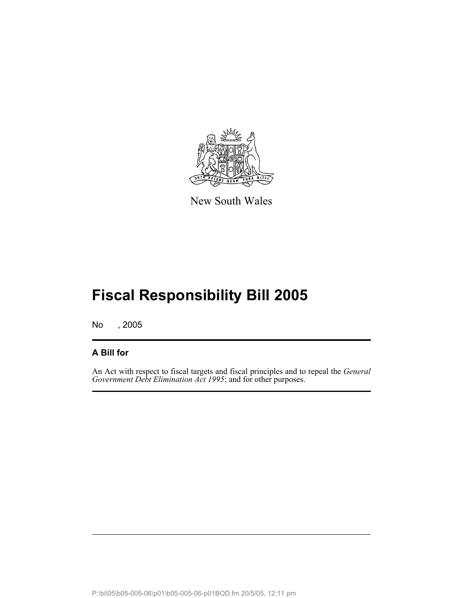

New South Wales

# **Fiscal Responsibility Bill 2005**

No , 2005

### **A Bill for**

An Act with respect to fiscal targets and fiscal principles and to repeal the *General Government Debt Elimination Act 1995*; and for other purposes.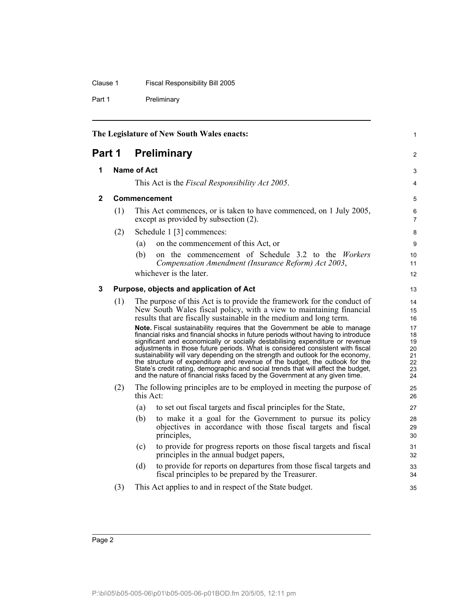### Clause 1 Fiscal Responsibility Bill 2005

Part 1 Preliminary

<span id="page-7-2"></span><span id="page-7-1"></span><span id="page-7-0"></span>

| The Legislature of New South Wales enacts: |     |                                                                                                                                                                                                                                                                                                                                                                                                                                                                                                                                                                                                                                                                            | 1                                            |
|--------------------------------------------|-----|----------------------------------------------------------------------------------------------------------------------------------------------------------------------------------------------------------------------------------------------------------------------------------------------------------------------------------------------------------------------------------------------------------------------------------------------------------------------------------------------------------------------------------------------------------------------------------------------------------------------------------------------------------------------------|----------------------------------------------|
| Part 1                                     |     | <b>Preliminary</b>                                                                                                                                                                                                                                                                                                                                                                                                                                                                                                                                                                                                                                                         | 2                                            |
| 1                                          |     | <b>Name of Act</b>                                                                                                                                                                                                                                                                                                                                                                                                                                                                                                                                                                                                                                                         | 3                                            |
|                                            |     | This Act is the <i>Fiscal Responsibility Act 2005</i> .                                                                                                                                                                                                                                                                                                                                                                                                                                                                                                                                                                                                                    | 4                                            |
| $\mathbf{2}$                               |     | Commencement                                                                                                                                                                                                                                                                                                                                                                                                                                                                                                                                                                                                                                                               | 5                                            |
|                                            | (1) | This Act commences, or is taken to have commenced, on 1 July 2005,<br>except as provided by subsection (2).                                                                                                                                                                                                                                                                                                                                                                                                                                                                                                                                                                | 6<br>$\overline{7}$                          |
|                                            | (2) | Schedule 1 [3] commences:                                                                                                                                                                                                                                                                                                                                                                                                                                                                                                                                                                                                                                                  | 8                                            |
|                                            |     | on the commencement of this Act, or<br>(a)                                                                                                                                                                                                                                                                                                                                                                                                                                                                                                                                                                                                                                 | 9                                            |
|                                            |     | on the commencement of Schedule 3.2 to the Workers<br>(b)<br>Compensation Amendment (Insurance Reform) Act 2003,                                                                                                                                                                                                                                                                                                                                                                                                                                                                                                                                                           | 10<br>11                                     |
|                                            |     | whichever is the later.                                                                                                                                                                                                                                                                                                                                                                                                                                                                                                                                                                                                                                                    | 12                                           |
| 3                                          |     | Purpose, objects and application of Act                                                                                                                                                                                                                                                                                                                                                                                                                                                                                                                                                                                                                                    | 13                                           |
|                                            | (1) | The purpose of this Act is to provide the framework for the conduct of<br>New South Wales fiscal policy, with a view to maintaining financial<br>results that are fiscally sustainable in the medium and long term.                                                                                                                                                                                                                                                                                                                                                                                                                                                        | 14<br>15<br>16                               |
|                                            |     | Note. Fiscal sustainability requires that the Government be able to manage<br>financial risks and financial shocks in future periods without having to introduce<br>significant and economically or socially destabilising expenditure or revenue<br>adjustments in those future periods. What is considered consistent with fiscal<br>sustainability will vary depending on the strength and outlook for the economy,<br>the structure of expenditure and revenue of the budget, the outlook for the<br>State's credit rating, demographic and social trends that will affect the budget,<br>and the nature of financial risks faced by the Government at any given time. | 17<br>18<br>19<br>20<br>21<br>22<br>23<br>24 |
|                                            | (2) | The following principles are to be employed in meeting the purpose of<br>this Act:                                                                                                                                                                                                                                                                                                                                                                                                                                                                                                                                                                                         | 25<br>26                                     |
|                                            |     | to set out fiscal targets and fiscal principles for the State,<br>(a)                                                                                                                                                                                                                                                                                                                                                                                                                                                                                                                                                                                                      | 27                                           |
|                                            |     | to make it a goal for the Government to pursue its policy<br>(b)<br>objectives in accordance with those fiscal targets and fiscal<br>principles,                                                                                                                                                                                                                                                                                                                                                                                                                                                                                                                           | 28<br>29<br>30                               |
|                                            |     | to provide for progress reports on those fiscal targets and fiscal<br>(c)<br>principles in the annual budget papers,                                                                                                                                                                                                                                                                                                                                                                                                                                                                                                                                                       | 31<br>32                                     |
|                                            |     | to provide for reports on departures from those fiscal targets and<br>(d)<br>fiscal principles to be prepared by the Treasurer.                                                                                                                                                                                                                                                                                                                                                                                                                                                                                                                                            | 33<br>34                                     |
|                                            | (3) | This Act applies to and in respect of the State budget.                                                                                                                                                                                                                                                                                                                                                                                                                                                                                                                                                                                                                    | 35                                           |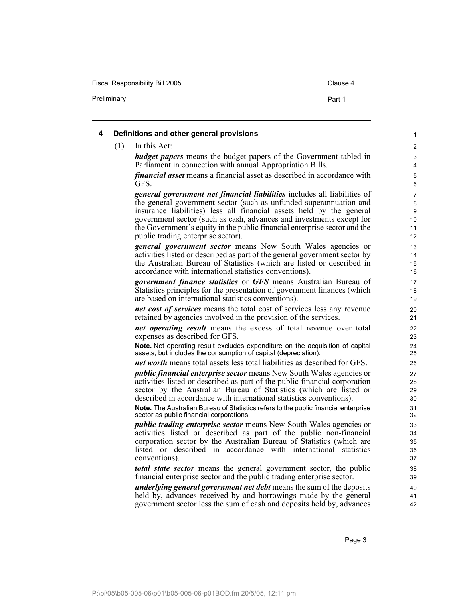Fiscal Responsibility Bill 2005 Clause 4

<span id="page-8-0"></span>

| (1) | In this Act:                                                                                                                                     |  |
|-----|--------------------------------------------------------------------------------------------------------------------------------------------------|--|
|     | <b>budget papers</b> means the budget papers of the Government tabled in<br>Parliament in connection with annual Appropriation Bills.            |  |
|     | <i>financial asset</i> means a financial asset as described in accordance with<br>GFS.                                                           |  |
|     | general government net financial liabilities includes all liabilities of<br>the general government sector (such as unfunded superannuation and   |  |
|     | insurance liabilities) less all financial assets held by the general<br>government sector (such as cash, advances and investments except for     |  |
|     | the Government's equity in the public financial enterprise sector and the<br>public trading enterprise sector).                                  |  |
|     | <i>general government sector</i> means New South Wales agencies or<br>activities listed or described as part of the general government sector by |  |
|     | the Australian Bureau of Statistics (which are listed or described in<br>accordance with international statistics conventions).                  |  |
|     | government finance statistics or GFS means Australian Bureau of<br>Statistics principles for the presentation of government finances (which      |  |
|     | are based on international statistics conventions).                                                                                              |  |
|     | net cost of services means the total cost of services less any revenue<br>retained by agencies involved in the provision of the services.        |  |
|     | net operating result means the excess of total revenue over total<br>expenses as described for GFS.                                              |  |
|     | Note. Net operating result excludes expenditure on the acquisition of capital<br>assets, but includes the consumption of capital (depreciation). |  |
|     | net worth means total assets less total liabilities as described for GFS.                                                                        |  |
|     | <i>public financial enterprise sector</i> means New South Wales agencies or                                                                      |  |
|     | activities listed or described as part of the public financial corporation<br>sector by the Australian Bureau of Statistics (which are listed or |  |
|     | described in accordance with international statistics conventions).                                                                              |  |
|     | Note. The Australian Bureau of Statistics refers to the public financial enterprise<br>sector as public financial corporations.                  |  |
|     | <i>public trading enterprise sector</i> means New South Wales agencies or                                                                        |  |
|     | activities listed or described as part of the public non-financial<br>corporation sector by the Australian Bureau of Statistics (which are       |  |
|     | listed or described in accordance with international statistics                                                                                  |  |
|     | conventions).                                                                                                                                    |  |
|     | <b><i>total state sector</i></b> means the general government sector, the public                                                                 |  |
|     | financial enterprise sector and the public trading enterprise sector.                                                                            |  |
|     | underlying general government net debt means the sum of the deposits                                                                             |  |
|     | held by, advances received by and borrowings made by the general<br>government sector less the sum of cash and deposits held by, advances        |  |

Preliminary **Preliminary** Part 1

P:\bi\05\b05-005-06\p01\b05-005-06-p01BOD.fm 20/5/05, 12:11 pm

Page 3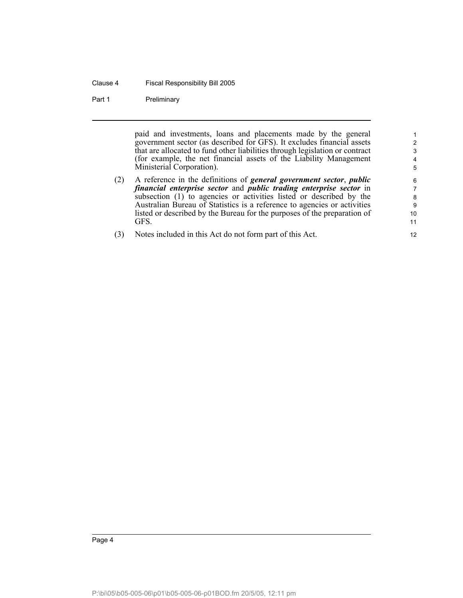#### Clause 4 Fiscal Responsibility Bill 2005

#### Part 1 Preliminary

paid and investments, loans and placements made by the general government sector (as described for GFS). It excludes financial assets that are allocated to fund other liabilities through legislation or contract (for example, the net financial assets of the Liability Management Ministerial Corporation).

- (2) A reference in the definitions of *general government sector*, *public financial enterprise sector* and *public trading enterprise sector* in subsection (1) to agencies or activities listed or described by the Australian Bureau of Statistics is a reference to agencies or activities listed or described by the Bureau for the purposes of the preparation of GFS.
- (3) Notes included in this Act do not form part of this Act.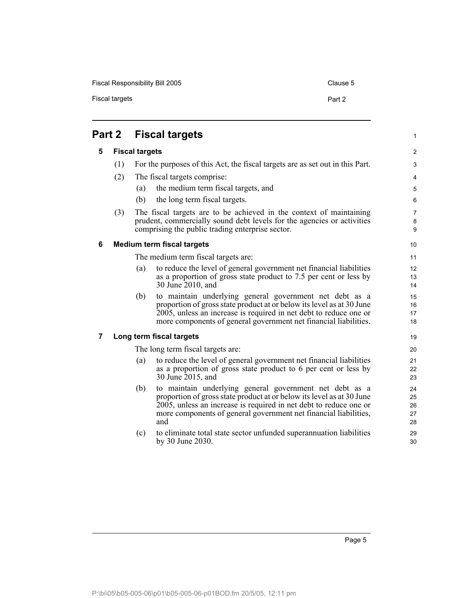Fiscal Responsibility Bill 2005 Clause 5

<span id="page-10-3"></span><span id="page-10-2"></span><span id="page-10-1"></span><span id="page-10-0"></span>

|   | Part 2 | <b>Fiscal targets</b>                                                                                                                                                                                                                                                                   | $\mathbf{1}$               |
|---|--------|-----------------------------------------------------------------------------------------------------------------------------------------------------------------------------------------------------------------------------------------------------------------------------------------|----------------------------|
| 5 |        | <b>Fiscal targets</b>                                                                                                                                                                                                                                                                   | $\overline{2}$             |
|   | (1)    | For the purposes of this Act, the fiscal targets are as set out in this Part.                                                                                                                                                                                                           | 3                          |
|   | (2)    | The fiscal targets comprise:                                                                                                                                                                                                                                                            | $\overline{4}$             |
|   |        | the medium term fiscal targets, and<br>(a)                                                                                                                                                                                                                                              | 5                          |
|   |        | (b)<br>the long term fiscal targets.                                                                                                                                                                                                                                                    | 6                          |
|   | (3)    | The fiscal targets are to be achieved in the context of maintaining<br>prudent, commercially sound debt levels for the agencies or activities<br>comprising the public trading enterprise sector.                                                                                       | $\overline{7}$<br>8<br>9   |
| 6 |        | <b>Medium term fiscal targets</b>                                                                                                                                                                                                                                                       | 10                         |
|   |        | The medium term fiscal targets are:                                                                                                                                                                                                                                                     | 11                         |
|   |        | to reduce the level of general government net financial liabilities<br>(a)<br>as a proportion of gross state product to 7.5 per cent or less by<br>30 June 2010, and                                                                                                                    | 12<br>13<br>14             |
|   |        | (b)<br>to maintain underlying general government net debt as a<br>proportion of gross state product at or below its level as at 30 June<br>2005, unless an increase is required in net debt to reduce one or<br>more components of general government net financial liabilities.        | 15<br>16<br>17<br>18       |
| 7 |        | Long term fiscal targets                                                                                                                                                                                                                                                                | 19                         |
|   |        | The long term fiscal targets are:                                                                                                                                                                                                                                                       | 20                         |
|   |        | to reduce the level of general government net financial liabilities<br>(a)<br>as a proportion of gross state product to 6 per cent or less by<br>30 June 2015, and                                                                                                                      | 21<br>22<br>23             |
|   |        | (b)<br>to maintain underlying general government net debt as a<br>proportion of gross state product at or below its level as at 30 June<br>2005, unless an increase is required in net debt to reduce one or<br>more components of general government net financial liabilities,<br>and | 24<br>25<br>26<br>27<br>28 |
|   |        | to eliminate total state sector unfunded superannuation liabilities<br>(c)<br>by 30 June 2030.                                                                                                                                                                                          | 29<br>30                   |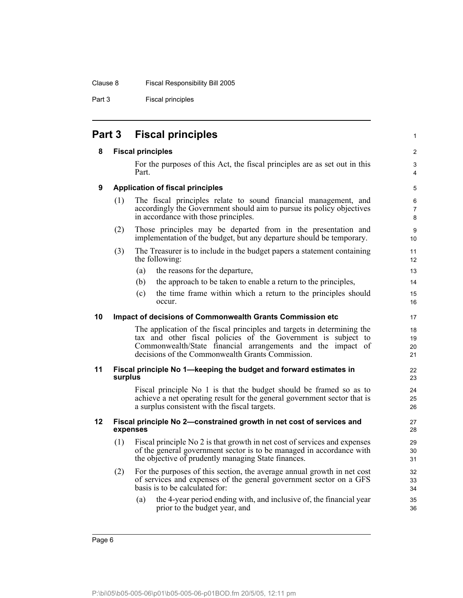Part 3 Fiscal principles

<span id="page-11-5"></span><span id="page-11-4"></span><span id="page-11-3"></span><span id="page-11-2"></span><span id="page-11-1"></span><span id="page-11-0"></span>

| Part 3 |         | <b>Fiscal principles</b>                                                                                                                                                                                                                                    | $\mathbf{1}$             |
|--------|---------|-------------------------------------------------------------------------------------------------------------------------------------------------------------------------------------------------------------------------------------------------------------|--------------------------|
| 8      |         | <b>Fiscal principles</b>                                                                                                                                                                                                                                    | 2                        |
|        |         | For the purposes of this Act, the fiscal principles are as set out in this<br>Part.                                                                                                                                                                         | 3<br>4                   |
| 9      |         | <b>Application of fiscal principles</b>                                                                                                                                                                                                                     | $\mathbf 5$              |
|        | (1)     | The fiscal principles relate to sound financial management, and<br>accordingly the Government should aim to pursue its policy objectives<br>in accordance with those principles.                                                                            | 6<br>$\overline{7}$<br>8 |
|        | (2)     | Those principles may be departed from in the presentation and<br>implementation of the budget, but any departure should be temporary.                                                                                                                       | 9<br>10                  |
|        | (3)     | The Treasurer is to include in the budget papers a statement containing<br>the following:                                                                                                                                                                   | 11<br>12                 |
|        |         | the reasons for the departure,<br>(a)                                                                                                                                                                                                                       | 13                       |
|        |         | the approach to be taken to enable a return to the principles,<br>(b)                                                                                                                                                                                       | 14                       |
|        |         | the time frame within which a return to the principles should<br>(c)<br>occur.                                                                                                                                                                              | 15<br>16                 |
| 10     |         | <b>Impact of decisions of Commonwealth Grants Commission etc</b>                                                                                                                                                                                            | 17                       |
|        |         | The application of the fiscal principles and targets in determining the<br>tax and other fiscal policies of the Government is subject to<br>Commonwealth/State financial arrangements and the impact of<br>decisions of the Commonwealth Grants Commission. | 18<br>19<br>20<br>21     |
| 11     | surplus | Fiscal principle No 1—keeping the budget and forward estimates in                                                                                                                                                                                           | 22<br>23                 |
|        |         | Fiscal principle No 1 is that the budget should be framed so as to<br>achieve a net operating result for the general government sector that is<br>a surplus consistent with the fiscal targets.                                                             | 24<br>25<br>26           |
| 12     |         | Fiscal principle No 2-constrained growth in net cost of services and<br>expenses                                                                                                                                                                            | 27<br>28                 |
|        | (1)     | Fiscal principle No 2 is that growth in net cost of services and expenses<br>of the general government sector is to be managed in accordance with<br>the objective of prudently managing State finances.                                                    | 29<br>30<br>31           |
|        | (2)     | For the purposes of this section, the average annual growth in net cost<br>of services and expenses of the general government sector on a GFS<br>basis is to be calculated for:                                                                             | 32<br>33<br>34           |
|        |         | the 4-year period ending with, and inclusive of, the financial year<br>(a)<br>prior to the budget year, and                                                                                                                                                 | 35<br>36                 |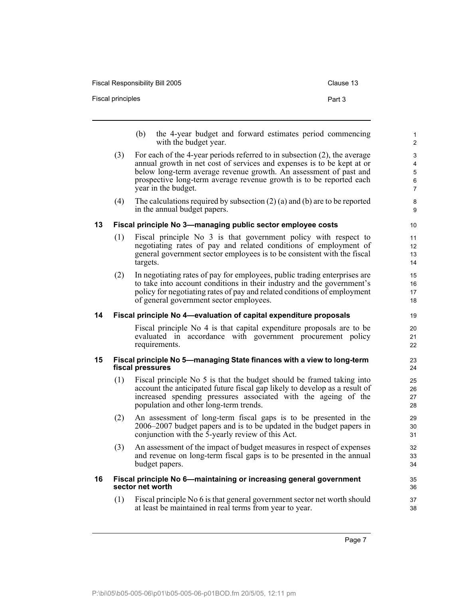<span id="page-12-3"></span><span id="page-12-2"></span><span id="page-12-1"></span><span id="page-12-0"></span>

|    | <b>Fiscal principles</b> | Part 3                                                                                                                                                                                                                                                                                                                 |                                     |
|----|--------------------------|------------------------------------------------------------------------------------------------------------------------------------------------------------------------------------------------------------------------------------------------------------------------------------------------------------------------|-------------------------------------|
|    |                          | the 4-year budget and forward estimates period commencing<br>(b)<br>with the budget year.                                                                                                                                                                                                                              | 1<br>$\overline{2}$                 |
|    | (3)                      | For each of the 4-year periods referred to in subsection (2), the average<br>annual growth in net cost of services and expenses is to be kept at or<br>below long-term average revenue growth. An assessment of past and<br>prospective long-term average revenue growth is to be reported each<br>year in the budget. | 3<br>4<br>5<br>6<br>$\overline{7}$  |
|    | (4)                      | The calculations required by subsection $(2)$ (a) and (b) are to be reported<br>in the annual budget papers.                                                                                                                                                                                                           | 8<br>9                              |
| 13 |                          | Fiscal principle No 3-managing public sector employee costs                                                                                                                                                                                                                                                            | 10                                  |
|    | (1)                      | Fiscal principle No 3 is that government policy with respect to<br>negotiating rates of pay and related conditions of employment of<br>general government sector employees is to be consistent with the fiscal<br>targets.                                                                                             | 11<br>$12 \overline{ }$<br>13<br>14 |
|    | (2)                      | In negotiating rates of pay for employees, public trading enterprises are<br>to take into account conditions in their industry and the government's<br>policy for negotiating rates of pay and related conditions of employment<br>of general government sector employees.                                             | 15<br>16<br>17<br>18                |
| 14 |                          | Fiscal principle No 4-evaluation of capital expenditure proposals                                                                                                                                                                                                                                                      | 19                                  |
|    |                          | Fiscal principle No 4 is that capital expenditure proposals are to be<br>evaluated in accordance with government procurement policy<br>requirements.                                                                                                                                                                   | 20<br>21<br>22                      |
| 15 |                          | Fiscal principle No 5—managing State finances with a view to long-term<br>fiscal pressures                                                                                                                                                                                                                             | 23<br>24                            |
|    | (1)                      | Fiscal principle No 5 is that the budget should be framed taking into<br>account the anticipated future fiscal gap likely to develop as a result of<br>increased spending pressures associated with the ageing of the<br>population and other long-term trends.                                                        | 25<br>26<br>27<br>28                |
|    | (2)                      | An assessment of long-term fiscal gaps is to be presented in the<br>2006–2007 budget papers and is to be updated in the budget papers in<br>conjunction with the $\bar{5}$ -yearly review of this Act.                                                                                                                 | 29<br>30<br>31                      |
|    | (3)                      | An assessment of the impact of budget measures in respect of expenses<br>and revenue on long-term fiscal gaps is to be presented in the annual<br>budget papers.                                                                                                                                                       | 32<br>33<br>34                      |
| 16 |                          | Fiscal principle No 6-maintaining or increasing general government<br>sector net worth                                                                                                                                                                                                                                 | 35<br>36                            |
|    | (1)                      | Fiscal principle No 6 is that general government sector net worth should<br>at least be maintained in real terms from year to year.                                                                                                                                                                                    | 37<br>38                            |

Fiscal Responsibility Bill 2005 Clause 13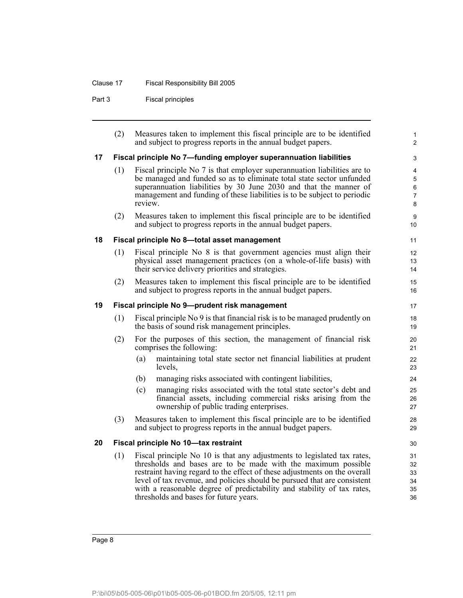### Clause 17 Fiscal Responsibility Bill 2005

Part 3 Fiscal principles

<span id="page-13-3"></span><span id="page-13-2"></span><span id="page-13-1"></span><span id="page-13-0"></span>

|    | (2) | Measures taken to implement this fiscal principle are to be identified<br>and subject to progress reports in the annual budget papers.                                                                                                                                                                                                                                                                                | $\mathbf{1}$<br>$\overline{2}$                  |
|----|-----|-----------------------------------------------------------------------------------------------------------------------------------------------------------------------------------------------------------------------------------------------------------------------------------------------------------------------------------------------------------------------------------------------------------------------|-------------------------------------------------|
| 17 |     | Fiscal principle No 7-funding employer superannuation liabilities                                                                                                                                                                                                                                                                                                                                                     | 3                                               |
|    | (1) | Fiscal principle No 7 is that employer superannuation liabilities are to<br>be managed and funded so as to eliminate total state sector unfunded<br>superannuation liabilities by 30 June 2030 and that the manner of<br>management and funding of these liabilities is to be subject to periodic<br>review.                                                                                                          | 4<br>$\overline{5}$<br>6<br>$\overline{7}$<br>8 |
|    | (2) | Measures taken to implement this fiscal principle are to be identified<br>and subject to progress reports in the annual budget papers.                                                                                                                                                                                                                                                                                | 9<br>10 <sup>°</sup>                            |
| 18 |     | Fiscal principle No 8-total asset management                                                                                                                                                                                                                                                                                                                                                                          | 11                                              |
|    | (1) | Fiscal principle No 8 is that government agencies must align their<br>physical asset management practices (on a whole-of-life basis) with<br>their service delivery priorities and strategies.                                                                                                                                                                                                                        | 12 <sup>2</sup><br>13<br>14                     |
|    | (2) | Measures taken to implement this fiscal principle are to be identified<br>and subject to progress reports in the annual budget papers.                                                                                                                                                                                                                                                                                | 15<br>16                                        |
| 19 |     | Fiscal principle No 9-prudent risk management                                                                                                                                                                                                                                                                                                                                                                         | 17                                              |
|    | (1) | Fiscal principle No 9 is that financial risk is to be managed prudently on<br>the basis of sound risk management principles.                                                                                                                                                                                                                                                                                          | 18<br>19                                        |
|    | (2) | For the purposes of this section, the management of financial risk<br>comprises the following:                                                                                                                                                                                                                                                                                                                        | 20<br>21                                        |
|    |     | (a)<br>maintaining total state sector net financial liabilities at prudent<br>levels,                                                                                                                                                                                                                                                                                                                                 | 22<br>23                                        |
|    |     | (b)<br>managing risks associated with contingent liabilities,                                                                                                                                                                                                                                                                                                                                                         | 24                                              |
|    |     | (c)<br>managing risks associated with the total state sector's debt and<br>financial assets, including commercial risks arising from the<br>ownership of public trading enterprises.                                                                                                                                                                                                                                  | 25<br>26<br>27                                  |
|    | (3) | Measures taken to implement this fiscal principle are to be identified<br>and subject to progress reports in the annual budget papers.                                                                                                                                                                                                                                                                                | 28<br>29                                        |
| 20 |     | Fiscal principle No 10-tax restraint                                                                                                                                                                                                                                                                                                                                                                                  | 30                                              |
|    | (1) | Fiscal principle No 10 is that any adjustments to legislated tax rates,<br>thresholds and bases are to be made with the maximum possible<br>restraint having regard to the effect of these adjustments on the overall<br>level of tax revenue, and policies should be pursued that are consistent<br>with a reasonable degree of predictability and stability of tax rates,<br>thresholds and bases for future years. | 31<br>32<br>33<br>34<br>35<br>36                |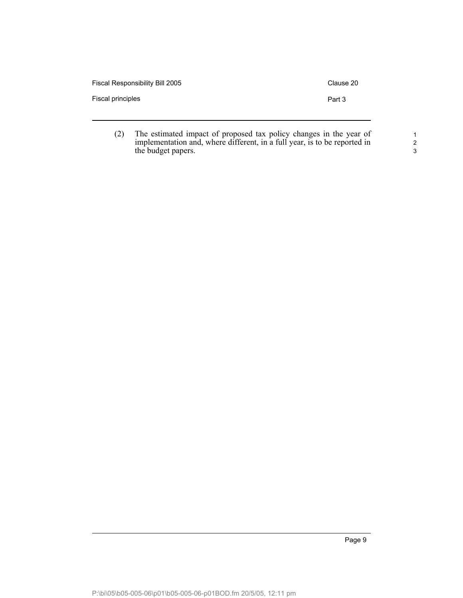| Fiscal Responsibility Bill 2005 | Clause 20 |
|---------------------------------|-----------|
| Fiscal principles               | Part 3    |
|                                 |           |

(2) The estimated impact of proposed tax policy changes in the year of implementation and, where different, in a full year, is to be reported in the budget papers.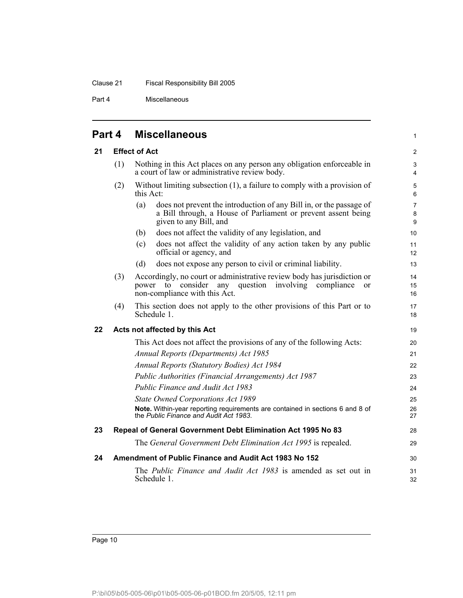Part 4 Miscellaneous

<span id="page-15-4"></span><span id="page-15-3"></span><span id="page-15-2"></span><span id="page-15-1"></span><span id="page-15-0"></span>

| Part 4 |     | <b>Miscellaneous</b>                                                                                                                                                                               | $\mathbf{1}$                            |
|--------|-----|----------------------------------------------------------------------------------------------------------------------------------------------------------------------------------------------------|-----------------------------------------|
| 21     |     | <b>Effect of Act</b>                                                                                                                                                                               | 2                                       |
|        | (1) | Nothing in this Act places on any person any obligation enforceable in<br>a court of law or administrative review body.                                                                            | $\mathsf 3$<br>4                        |
|        | (2) | Without limiting subsection $(1)$ , a failure to comply with a provision of<br>this Act:                                                                                                           | 5<br>6                                  |
|        |     | does not prevent the introduction of any Bill in, or the passage of<br>(a)<br>a Bill through, a House of Parliament or prevent assent being<br>given to any Bill, and                              | $\overline{7}$<br>8<br>$\boldsymbol{9}$ |
|        |     | does not affect the validity of any legislation, and<br>(b)                                                                                                                                        | 10                                      |
|        |     | does not affect the validity of any action taken by any public<br>(c)<br>official or agency, and                                                                                                   | 11<br>12                                |
|        |     | (d)<br>does not expose any person to civil or criminal liability.                                                                                                                                  | 13                                      |
|        | (3) | Accordingly, no court or administrative review body has jurisdiction or<br>any<br>question<br>consider<br>involving<br>compliance<br>power<br>to<br><sub>or</sub><br>non-compliance with this Act. | 14<br>15<br>16                          |
|        | (4) | This section does not apply to the other provisions of this Part or to<br>Schedule 1.                                                                                                              | 17<br>18                                |
| 22     |     | Acts not affected by this Act                                                                                                                                                                      | 19                                      |
|        |     | This Act does not affect the provisions of any of the following Acts:                                                                                                                              | 20                                      |
|        |     | Annual Reports (Departments) Act 1985                                                                                                                                                              | 21                                      |
|        |     | <b>Annual Reports (Statutory Bodies) Act 1984</b>                                                                                                                                                  | 22                                      |
|        |     | Public Authorities (Financial Arrangements) Act 1987                                                                                                                                               | 23                                      |
|        |     | Public Finance and Audit Act 1983                                                                                                                                                                  | 24                                      |
|        |     | <b>State Owned Corporations Act 1989</b>                                                                                                                                                           | 25                                      |
|        |     | Note. Within-year reporting requirements are contained in sections 6 and 8 of<br>the Public Finance and Audit Act 1983.                                                                            | 26<br>27                                |
| 23     |     | Repeal of General Government Debt Elimination Act 1995 No 83                                                                                                                                       | 28                                      |
|        |     | The General Government Debt Elimination Act 1995 is repealed.                                                                                                                                      | 29                                      |
| 24     |     | Amendment of Public Finance and Audit Act 1983 No 152                                                                                                                                              | 30                                      |
|        |     | The Public Finance and Audit Act 1983 is amended as set out in<br>Schedule 1.                                                                                                                      | 31<br>32                                |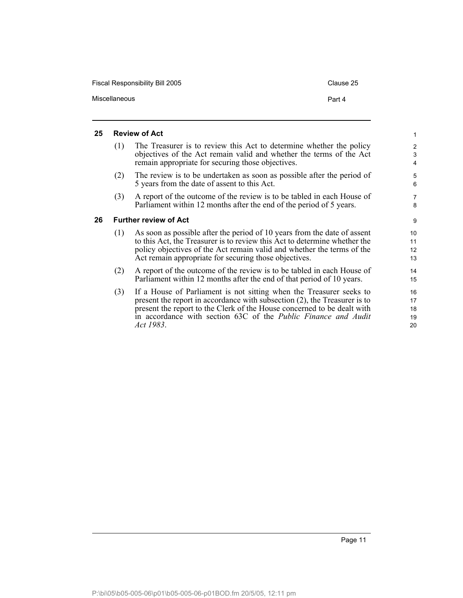| Fiscal Responsibility Bill 2005 | Clause 25 |
|---------------------------------|-----------|
| Miscellaneous                   | Part 4    |

#### <span id="page-16-0"></span>**25 Review of Act**

<span id="page-16-1"></span>**26** 

| (1) | The Treasurer is to review this Act to determine whether the policy<br>objectives of the Act remain valid and whether the terms of the Act<br>remain appropriate for securing those objectives.                                                                                          |
|-----|------------------------------------------------------------------------------------------------------------------------------------------------------------------------------------------------------------------------------------------------------------------------------------------|
| (2) | The review is to be undertaken as soon as possible after the period of<br>5 years from the date of assent to this Act.                                                                                                                                                                   |
| (3) | A report of the outcome of the review is to be tabled in each House of<br>Parliament within 12 months after the end of the period of 5 years.                                                                                                                                            |
|     | <b>Further review of Act</b>                                                                                                                                                                                                                                                             |
| (1) | As soon as possible after the period of 10 years from the date of assent<br>to this Act, the Treasurer is to review this Act to determine whether the<br>policy objectives of the Act remain valid and whether the terms of the<br>Act remain appropriate for securing those objectives. |
| (2) | A report of the outcome of the review is to be tabled in each House of<br>Parliament within 12 months after the end of that period of 10 years.                                                                                                                                          |
| (3) | If a House of Parliament is not sitting when the Treasurer seeks to<br>present the report in accordance with subsection $(2)$ , the Treasurer is to                                                                                                                                      |

present the report to the Clerk of the House concerned to be dealt with in accordance with section 63C of the *Public Finance and Audit Act 1983*.